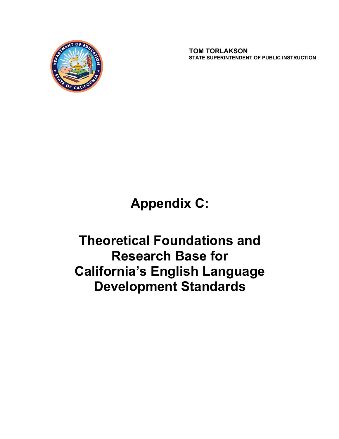

 **TOM TORLAKSON STATE SUPERINTENDENT OF PUBLIC INSTRUCTION**

**Appendix C:** 

**Theoretical Foundations and Research Base for California's English Language Development Standards**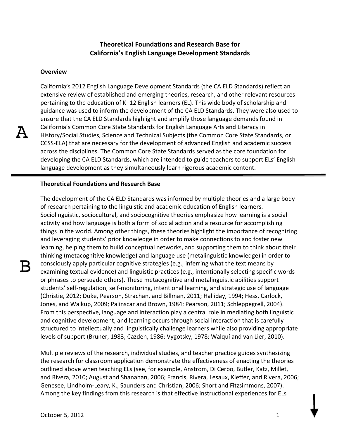# **Theoretical Foundations and Research Base for California's English Language Development Standards**

### **Overview**

California's 2012 English Language Development Standards (the CA ELD Standards) reflect an extensive review of established and emerging theories, research, and other relevant resources pertaining to the education of K–12 English learners (EL). This wide body of scholarship and guidance was used to inform the development of the CA ELD Standards. They were also used to ensure that the CA ELD Standards highlight and amplify those language demands found in California's Common Core State Standards for English Language Arts and Literacy in History/Social Studies, Science and Technical Subjects (the Common Core State Standards, or CCSS-ELA) that are necessary for the development of advanced English and academic success across the disciplines. The Common Core State Standards served as the core foundation for developing the CA ELD Standards, which are intended to guide teachers to support ELs' English language development as they simultaneously learn rigorous academic content.

### **Theoretical Foundations and Research Base**

The development of the CA ELD Standards was informed by multiple theories and a large body of research pertaining to the linguistic and academic education of English learners. Sociolinguistic, sociocultural, and sociocognitive theories emphasize how learning is a social activity and how language is both a form of social action and a resource for accomplishing things in the world. Among other things, these theories highlight the importance of recognizing and leveraging students' prior knowledge in order to make connections to and foster new learning, helping them to build conceptual networks, and supporting them to think about their thinking (metacognitive knowledge) and language use (metalinguistic knowledge) in order to consciously apply particular cognitive strategies (e.g., inferring what the text means by examining textual evidence) and linguistic practices (e.g., intentionally selecting specific words or phrases to persuade others). These metacognitive and metalinguistic abilities support students' self-regulation, self-monitoring, intentional learning, and strategic use of language (Christie, 2012; Duke, Pearson, Strachan, and Billman, 2011; Halliday, 1994; Hess, Carlock, Jones, and Walkup, 2009; Palinscar and Brown, 1984; Pearson, 2011; Schleppegrell, 2004). From this perspective, language and interaction play a central role in mediating both linguistic and cognitive development, and learning occurs through social interaction that is carefully structured to intellectually and linguistically challenge learners while also providing appropriate levels of support (Bruner, 1983; Cazden, 1986; Vygotsky, 1978; Walquí and van Lier, 2010).

Multiple reviews of the research, individual studies, and teacher practice guides synthesizing the research for classroom application demonstrate the effectiveness of enacting the theories outlined above when teaching ELs (see, for example, Anstrom, Di Cerbo, Butler, Katz, Millet, and Rivera, 2010; August and Shanahan, 2006; Francis, Rivera, Lesaux, Kieffer, and Rivera, 2006; Genesee, Lindholm-Leary, K., Saunders and Christian, 2006; Short and Fitzsimmons, 2007). Among the key findings from this research is that effective instructional experiences for ELs

 $\mathsf B$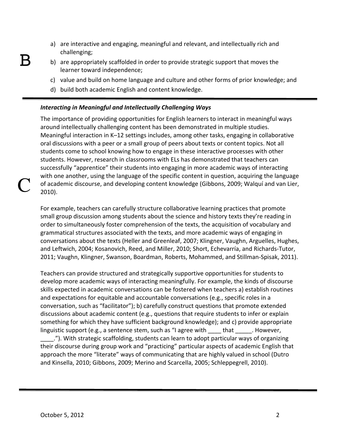- a) are interactive and engaging, meaningful and relevant, and intellectually rich and challenging;
- b) are appropriately scaffolded in order to provide strategic support that moves the learner toward independence;
	- c) value and build on home language and culture and other forms of prior knowledge; and
	- d) build both academic English and content knowledge.

## *Interacting in Meaningful and Intellectually Challenging Ways*

The importance of providing opportunities for English learners to interact in meaningful ways around intellectually challenging content has been demonstrated in multiple studies. Meaningful interaction in K–12 settings includes, among other tasks, engaging in collaborative oral discussions with a peer or a small group of peers about texts or content topics. Not all students come to school knowing how to engage in these interactive processes with other students. However, research in classrooms with ELs has demonstrated that teachers can successfully "apprentice" their students into engaging in more academic ways of interacting with one another, using the language of the specific content in question, acquiring the language of academic discourse, and developing content knowledge (Gibbons, 2009; Walquí and van Lier, 2010).

For example, teachers can carefully structure collaborative learning practices that promote small group discussion among students about the science and history texts they're reading in order to simultaneously foster comprehension of the texts, the acquisition of vocabulary and grammatical structures associated with the texts, and more academic ways of engaging in conversations about the texts (Heller and Greenleaf, 2007; Klingner, Vaughn, Arguelles, Hughes, and Leftwich, 2004; Kosanovich, Reed, and Miller, 2010; Short, Echevarría, and Richards-Tutor, 2011; Vaughn, Klingner, Swanson, Boardman, Roberts, Mohammed, and Stillman-Spisak, 2011).

Teachers can provide structured and strategically supportive opportunities for students to develop more academic ways of interacting meaningfully. For example, the kinds of discourse skills expected in academic conversations can be fostered when teachers a) establish routines and expectations for equitable and accountable conversations (e.g., specific roles in a conversation, such as "facilitator"); b) carefully construct questions that promote extended discussions about academic content (e.g., questions that require students to infer or explain something for which they have sufficient background knowledge); and c) provide appropriate linguistic support (e.g., a sentence stem, such as "I agree with \_\_\_\_\_ that \_\_\_\_\_\_. However,

\_\_\_\_."). With strategic scaffolding, students can learn to adopt particular ways of organizing their discourse during group work and "practicing" particular aspects of academic English that approach the more "literate" ways of communicating that are highly valued in school (Dutro and Kinsella, 2010; Gibbons, 2009; Merino and Scarcella, 2005; Schleppegrell, 2010).

C

 $\bm{\mathsf{B}}$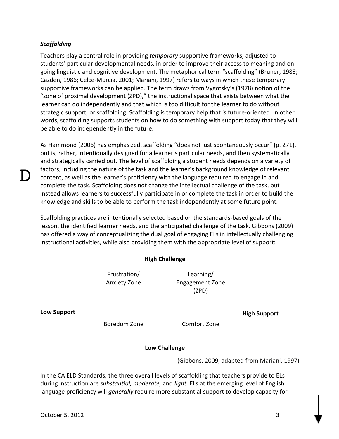## *Scaffolding*

D

Teachers play a central role in providing *temporary* supportive frameworks, adjusted to students' particular developmental needs, in order to improve their access to meaning and ongoing linguistic and cognitive development. The metaphorical term "scaffolding" (Bruner, 1983; Cazden, 1986; Celce-Murcia, 2001; Mariani, 1997) refers to ways in which these temporary supportive frameworks can be applied. The term draws from Vygotsky's (1978) notion of the "zone of proximal development (ZPD)," the instructional space that exists between what the learner can do independently and that which is too difficult for the learner to do without strategic support, or scaffolding. Scaffolding is temporary help that is future-oriented. In other words, scaffolding supports students on how to do something with support today that they will be able to do independently in the future.

As Hammond (2006) has emphasized, scaffolding "does not just spontaneously occur" (p. 271), but is, rather, intentionally designed for a learner's particular needs, and then systematically and strategically carried out. The level of scaffolding a student needs depends on a variety of factors, including the nature of the task and the learner's background knowledge of relevant content, as well as the learner's proficiency with the language required to engage in and complete the task. Scaffolding does not change the intellectual challenge of the task, but instead allows learners to successfully participate in or complete the task in order to build the knowledge and skills to be able to perform the task independently at some future point.

Scaffolding practices are intentionally selected based on the standards-based goals of the lesson, the identified learner needs, and the anticipated challenge of the task. Gibbons (2009) has offered a way of conceptualizing the dual goal of engaging ELs in intellectually challenging instructional activities, while also providing them with the appropriate level of support:

**High Challenge**

| <b>TIRII CHANCIRE</b> |                              |                                              |                     |
|-----------------------|------------------------------|----------------------------------------------|---------------------|
|                       | Frustration/<br>Anxiety Zone | Learning/<br><b>Engagement Zone</b><br>(ZPD) |                     |
| <b>Low Support</b>    | Boredom Zone                 | Comfort Zone                                 | <b>High Support</b> |

## **Low Challenge**

(Gibbons, 2009, adapted from Mariani, 1997)

In the CA ELD Standards, the three overall levels of scaffolding that teachers provide to ELs during instruction are *substantial, moderate,* and *light.* ELs at the emerging level of English language proficiency will *generally* require more substantial support to develop capacity for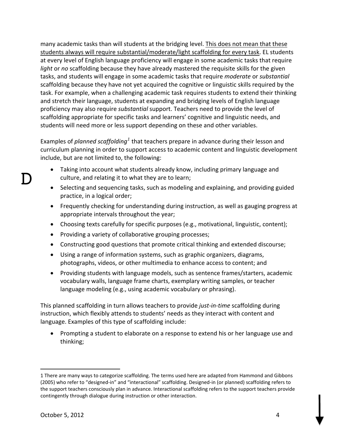many academic tasks than will students at the bridging level. This does not mean that these students always will require substantial/moderate/light scaffolding for every task. EL students at every level of English language proficiency will engage in some academic tasks that require *light* or *no* scaffolding because they have already mastered the requisite skills for the given tasks, and students will engage in some academic tasks that require *moderate* or *substantial* scaffolding because they have not yet acquired the cognitive or linguistic skills required by the task. For example, when a challenging academic task requires students to extend their thinking and stretch their language, students at expanding and bridging levels of English language proficiency may also require *substantial* support. Teachers need to provide the level of scaffolding appropriate for specific tasks and learners' cognitive and linguistic needs, and students will need more or less support depending on these and other variables.

Examples of *planned scaffolding<sup>1</sup>* that teachers prepare in advance during their lesson and curriculum planning in order to support access to academic content and linguistic development include, but are not limited to, the following:

- Taking into account what students already know, including primary language and culture, and relating it to what they are to learn;
- Selecting and sequencing tasks, such as modeling and explaining, and providing guided practice, in a logical order;
- Frequently checking for understanding during instruction, as well as gauging progress at appropriate intervals throughout the year;
- Choosing texts carefully for specific purposes (e.g., motivational, linguistic, content);
- Providing a variety of collaborative grouping processes;
- Constructing good questions that promote critical thinking and extended discourse;
- Using a range of information systems, such as graphic organizers, diagrams, photographs, videos, or other multimedia to enhance access to content; and
- Providing students with language models, such as sentence frames/starters, academic vocabulary walls, language frame charts, exemplary writing samples, or teacher language modeling (e.g., using academic vocabulary or phrasing).

This planned scaffolding in turn allows teachers to provide *justͲinͲtime* scaffolding during instruction, which flexibly attends to students' needs as they interact with content and language. Examples of this type of scaffolding include:

• Prompting a student to elaborate on a response to extend his or her language use and thinking;

D

<sup>1</sup> There are many ways to categorize scaffolding. The terms used here are adapted from Hammond and Gibbons (2005) who refer to "designed-in" and "interactional" scaffolding. Designed-in (or planned) scaffolding refers to the support teachers consciously plan in advance. Interactional scaffolding refers to the support teachers provide contingently through dialogue during instruction or other interaction.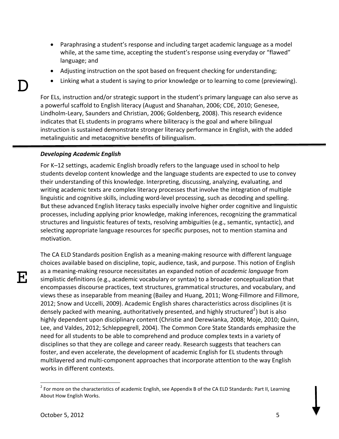- Paraphrasing a student's response and including target academic language as a model while, at the same time, accepting the student's response using everyday or "flawed" language; and
- Adjusting instruction on the spot based on frequent checking for understanding;
- Linking what a student is saying to prior knowledge or to learning to come (previewing).

For ELs, instruction and/or strategic support in the student's primary language can also serve as a powerful scaffold to English literacy (August and Shanahan, 2006; CDE, 2010; Genesee, Lindholm-Leary, Saunders and Christian, 2006; Goldenberg, 2008). This research evidence indicates that EL students in programs where biliteracy is the goal and where bilingual instruction is sustained demonstrate stronger literacy performance in English, with the added metalinguistic and metacognitive benefits of bilingualism.

## *Developing Academic English*

For K–12 settings, academic English broadly refers to the language used in school to help students develop content knowledge and the language students are expected to use to convey their understanding of this knowledge. Interpreting, discussing, analyzing, evaluating, and writing academic texts are complex literacy processes that involve the integration of multiple linguistic and cognitive skills, including word-level processing, such as decoding and spelling. But these advanced English literacy tasks especially involve higher order cognitive and linguistic processes, including applying prior knowledge, making inferences, recognizing the grammatical structures and linguistic features of texts, resolving ambiguities (e.g., semantic, syntactic), and selecting appropriate language resources for specific purposes, not to mention stamina and motivation.

E

D

The CA ELD Standards position English as a meaning-making resource with different language choices available based on discipline, topic, audience, task, and purpose. This notion of English as a meaning-making resource necessitates an expanded notion of *academic language* from simplistic definitions (e.g., academic vocabulary or syntax) to a broader conceptualization that encompasses discourse practices, text structures, grammatical structures, and vocabulary, and views these as inseparable from meaning (Bailey and Huang, 2011; Wong-Fillmore and Fillmore, 2012; Snow and Uccelli, 2009). Academic English shares characteristics across disciplines (it is densely packed with meaning, authoritatively presented, and highly structured<sup>2</sup>) but is also highly dependent upon disciplinary content (Christie and Derewianka, 2008; Moje, 2010; Quinn, Lee, and Valdes, 2012; Schleppegrell, 2004). The Common Core State Standards emphasize the need for all students to be able to comprehend and produce complex texts in a variety of disciplines so that they are college and career ready. Research suggests that teachers can foster, and even accelerate, the development of academic English for EL students through multilayered and multi-component approaches that incorporate attention to the way English works in different contexts.

 $2$  For more on the characteristics of academic English, see Appendix B of the CA ELD Standards: Part II, Learning About How English Works.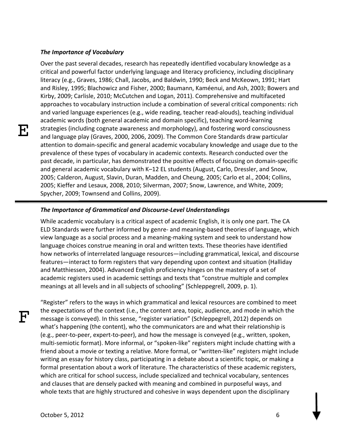#### *The Importance of Vocabulary*

Over the past several decades, research has repeatedly identified vocabulary knowledge as a critical and powerful factor underlying language and literacy proficiency, including disciplinary literacy (e.g., Graves, 1986; Chall, Jacobs, and Baldwin, 1990; Beck and McKeown, 1991; Hart and Risley, 1995; Blachowicz and Fisher, 2000; Baumann, Kaméenui, and Ash, 2003; Bowers and Kirby, 2009; Carlisle, 2010; McCutchen and Logan, 2011). Comprehensive and multifaceted approaches to vocabulary instruction include a combination of several critical components: rich and varied language experiences (e.g., wide reading, teacher read-alouds), teaching individual academic words (both general academic and domain specific), teaching word-learning strategies (including cognate awareness and morphology), and fostering word consciousness and language play (Graves, 2000, 2006, 2009). The Common Core Standards draw particular attention to domain-specific and general academic vocabulary knowledge and usage due to the prevalence of these types of vocabulary in academic contexts. Research conducted over the past decade, in particular, has demonstrated the positive effects of focusing on domain-specific and general academic vocabulary with K–12 EL students (August, Carlo, Dressler, and Snow, 2005; Calderon, August, Slavin, Duran, Madden, and Cheung, 2005; Carlo et al., 2004; Collins, 2005; Kieffer and Lesaux, 2008, 2010; Silverman, 2007; Snow, Lawrence, and White, 2009; Spycher, 2009; Townsend and Collins, 2009).

#### *The Importance of Grammatical and DiscourseͲLevel Understandings*

While academic vocabulary is a critical aspect of academic English, it is only one part. The CA ELD Standards were further informed by genre- and meaning-based theories of language, which view language as a social process and a meaning-making system and seek to understand how language choices construe meaning in oral and written texts. These theories have identified how networks of interrelated language resources—including grammatical, lexical, and discourse features—interact to form registers that vary depending upon context and situation (Halliday and Matthiessen, 2004). Advanced English proficiency hinges on the mastery of a set of academic registers used in academic settings and texts that "construe multiple and complex meanings at all levels and in all subjects of schooling" (Schleppegrell, 2009, p. 1).

"Register" refers to the ways in which grammatical and lexical resources are combined to meet the expectations of the context (i.e., the content area, topic, audience, and mode in which the message is conveyed). In this sense, "register variation" (Schleppegrell, 2012) depends on what's happening (the content), who the communicators are and what their relationship is (e.g., peer-to-peer, expert-to-peer), and how the message is conveyed (e.g., written, spoken, multi-semiotic format). More informal, or "spoken-like" registers might include chatting with a friend about a movie or texting a relative. More formal, or "written-like" registers might include writing an essay for history class, participating in a debate about a scientific topic, or making a formal presentation about a work of literature. The characteristics of these academic registers, which are critical for school success, include specialized and technical vocabulary, sentences and clauses that are densely packed with meaning and combined in purposeful ways, and whole texts that are highly structured and cohesive in ways dependent upon the disciplinary

 $\boldsymbol{\mathsf{F}}$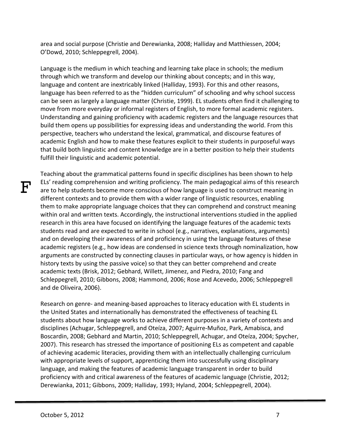area and social purpose (Christie and Derewianka, 2008; Halliday and Matthiessen, 2004; O'Dowd, 2010; Schleppegrell, 2004).

Language is the medium in which teaching and learning take place in schools; the medium through which we transform and develop our thinking about concepts; and in this way, language and content are inextricably linked (Halliday, 1993). For this and other reasons, language has been referred to as the "hidden curriculum" of schooling and why school success can be seen as largely a language matter (Christie, 1999). EL students often find it challenging to move from more everyday or informal registers of English, to more formal academic registers. Understanding and gaining proficiency with academic registers and the language resources that build them opens up possibilities for expressing ideas and understanding the world. From this perspective, teachers who understand the lexical, grammatical, and discourse features of academic English and how to make these features explicit to their students in purposeful ways that build both linguistic and content knowledge are in a better position to help their students fulfill their linguistic and academic potential.

Teaching about the grammatical patterns found in specific disciplines has been shown to help ELs' reading comprehension and writing proficiency. The main pedagogical aims of this research are to help students become more conscious of how language is used to construct meaning in different contexts and to provide them with a wider range of linguistic resources, enabling them to make appropriate language choices that they can comprehend and construct meaning within oral and written texts. Accordingly, the instructional interventions studied in the applied research in this area have focused on identifying the language features of the academic texts students read and are expected to write in school (e.g., narratives, explanations, arguments) and on developing their awareness of and proficiency in using the language features of these academic registers (e.g., how ideas are condensed in science texts through nominalization, how arguments are constructed by connecting clauses in particular ways, or how agency is hidden in history texts by using the passive voice) so that they can better comprehend and create academic texts (Brisk, 2012; Gebhard, Willett, Jimenez, and Piedra, 2010; Fang and Schleppegrell, 2010; Gibbons, 2008; Hammond, 2006; Rose and Acevedo, 2006; Schleppegrell and de Oliveira, 2006).

Research on genre- and meaning-based approaches to literacy education with EL students in the United States and internationally has demonstrated the effectiveness of teaching EL students about how language works to achieve different purposes in a variety of contexts and disciplines (Achugar, Schleppegrell, and Oteíza, 2007; Aguirre-Muñoz, Park, Amabisca, and Boscardin, 2008; Gebhard and Martin, 2010; Schleppegrell, Achugar, and Oteíza, 2004; Spycher, 2007). This research has stressed the importance of positioning ELs as competent and capable of achieving academic literacies, providing them with an intellectually challenging curriculum with appropriate levels of support, apprenticing them into successfully using disciplinary language, and making the features of academic language transparent in order to build proficiency with and critical awareness of the features of academic language (Christie, 2012; Derewianka, 2011; Gibbons, 2009; Halliday, 1993; Hyland, 2004; Schleppegrell, 2004).

 ${\bf F}$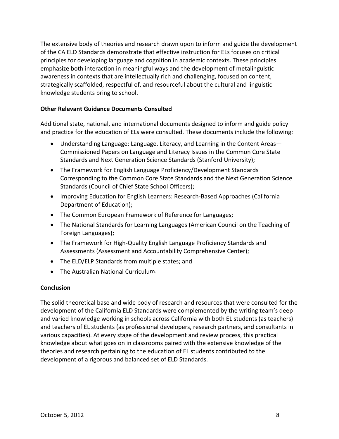The extensive body of theories and research drawn upon to inform and guide the development of the CA ELD Standards demonstrate that effective instruction for ELs focuses on critical principles for developing language and cognition in academic contexts. These principles emphasize both interaction in meaningful ways and the development of metalinguistic awareness in contexts that are intellectually rich and challenging, focused on content, strategically scaffolded, respectful of, and resourceful about the cultural and linguistic knowledge students bring to school.

## **Other Relevant Guidance Documents Consulted**

Additional state, national, and international documents designed to inform and guide policy and practice for the education of ELs were consulted. These documents include the following:

- Understanding Language: Language, Literacy, and Learning in the Content Areas— Commissioned Papers on Language and Literacy Issues in the Common Core State Standards and Next Generation Science Standards (Stanford University);
- The Framework for English Language Proficiency/Development Standards Corresponding to the Common Core State Standards and the Next Generation Science Standards (Council of Chief State School Officers);
- Improving Education for English Learners: Research-Based Approaches (California Department of Education);
- The Common European Framework of Reference for Languages;
- The National Standards for Learning Languages (American Council on the Teaching of Foreign Languages);
- The Framework for High-Quality English Language Proficiency Standards and Assessments (Assessment and Accountability Comprehensive Center);
- The ELD/ELP Standards from multiple states; and
- The Australian National Curriculum.

## **Conclusion**

The solid theoretical base and wide body of research and resources that were consulted for the development of the California ELD Standards were complemented by the writing team's deep and varied knowledge working in schools across California with both EL students (as teachers) and teachers of EL students (as professional developers, research partners, and consultants in various capacities). At every stage of the development and review process, this practical knowledge about what goes on in classrooms paired with the extensive knowledge of the theories and research pertaining to the education of EL students contributed to the development of a rigorous and balanced set of ELD Standards.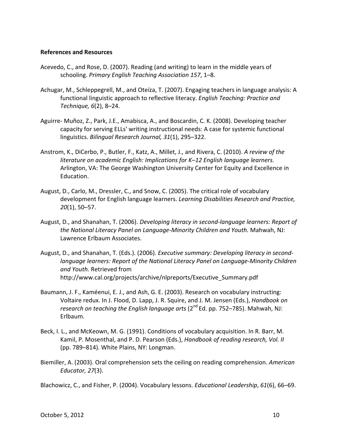### **References and Resources**

- Acevedo, C., and Rose, D. (2007). Reading (and writing) to learn in the middle years of schooling. *Primary English Teaching Association 157*, 1–8.
- Achugar, M., Schleppegrell, M., and Oteíza, T. (2007). Engaging teachers in language analysis: A functional linguistic approach to reflective literacy. *English Teaching: Practice and Technique, 6*(2), 8–24.
- Aguirre- Muñoz, Z., Park, J.E., Amabisca, A., and Boscardin, C. K. (2008). Developing teacher capacity for serving ELLs' writing instructional needs: A case for systemic functional linguistics. *Bilingual Research Journal, 31*(1), 295–322.
- Anstrom, K., DiCerbo, P., Butler, F., Katz, A., Millet, J., and Rivera, C. (2010). *A review of the literature on academic English: Implications for K–12 English language learners.* Arlington, VA: The George Washington University Center for Equity and Excellence in Education.
- August, D., Carlo, M., Dressler, C., and Snow, C. (2005). The critical role of vocabulary development for English language learners. *Learning Disabilities Research and Practice, 20*(1), 50–57.
- August, D., and Shanahan, T. (2006). *Developing literacy in secondͲlanguage learners: Report of the National Literacy Panel on LanguageͲMinority Children and Youth.* Mahwah, NJ: Lawrence Erlbaum Associates.
- August, D., and Shanahan, T. (Eds.). (2006). *Executive summary: Developing literacy in secondͲ language learners: Report of the National Literacy Panel on LanguageͲMinority Children and Youth.* Retrieved from http://www.cal.org/projects/archive/nlpreports/Executive\_Summary.pdf
- Baumann, J. F., Kaméenui, E. J., and Ash, G. E. (2003). Research on vocabulary instructing: Voltaire redux. In J. Flood, D. Lapp, J. R. Squire, and J. M. Jensen (Eds.), *Handbook on research on teaching the English language arts* (2nd Ed. pp. 752–785). Mahwah, NJ: Erlbaum.
- Beck, I. L., and McKeown, M. G. (1991). Conditions of vocabulary acquisition. In R. Barr, M. Kamil, P. Mosenthal, and P. D. Pearson (Eds.), *Handbook of reading research, Vol. II* (pp. 789–814). White Plains, NY: Longman.
- Biemiller, A. (2003). Oral comprehension sets the ceiling on reading comprehension. *American Educator, 27*(3).

Blachowicz, C., and Fisher, P. (2004). Vocabulary lessons. *Educational Leadership*, *61*(6), 66–69.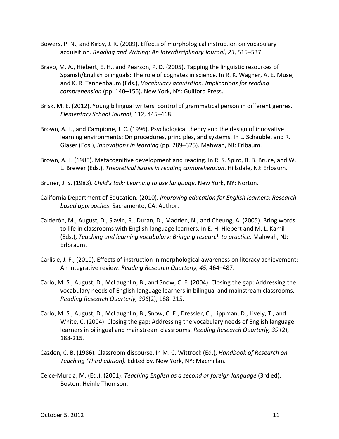- Bowers, P. N., and Kirby, J. R. (2009). Effects of morphological instruction on vocabulary acquisition. *Reading and Writing: An Interdisciplinary Journal*, *23*, 515–537.
- Bravo, M. A., Hiebert, E. H., and Pearson, P. D. (2005). Tapping the linguistic resources of Spanish/English bilinguals: The role of cognates in science. In R. K. Wagner, A. E. Muse, and K. R. Tannenbaum (Eds.), *Vocabulary acquisition: Implications for reading comprehension* (pp. 140–156). New York, NY: Guilford Press.
- Brisk, M. E. (2012). Young bilingual writers' control of grammatical person in different genres. *Elementary School Journal*, 112, 445–468.
- Brown, A. L., and Campione, J. C. (1996). Psychological theory and the design of innovative learning environments: On procedures, principles, and systems. In L. Schauble, and R. Glaser (Eds.), *Innovations in learning* (pp. 289–325). Mahwah, NJ: Erlbaum.
- Brown, A. L. (1980). Metacognitive development and reading. In R. S. Spiro, B. B. Bruce, and W. L. Brewer (Eds.), *Theoretical issues in reading comprehension*. Hillsdale, NJ: Erlbaum.
- Bruner, J. S. (1983). *Child's talk: Learning to use language.* New York, NY: Norton.
- California Department of Education. (2010). *Improving education for English learners: Researchbased approaches*. Sacramento, CA: Author.
- Calderón, M., August, D., Slavin, R., Duran, D., Madden, N., and Cheung, A. (2005). Bring words to life in classrooms with English-language learners. In E. H. Hiebert and M. L. Kamil (Eds.), *Teaching and learning vocabulary: Bringing research to practice.* Mahwah, NJ: Erlbraum.
- Carlisle, J. F., (2010). Effects of instruction in morphological awareness on literacy achievement: An integrative review. *Reading Research Quarterly, 45,* 464–487.
- Carlo, M. S., August, D., McLaughlin, B., and Snow, C. E. (2004). Closing the gap: Addressing the vocabulary needs of English-language learners in bilingual and mainstream classrooms. *Reading Research Quarterly, 396*(2), 188–215.
- Carlo, M. S., August, D., McLaughlin, B., Snow, C. E., Dressler, C., Lippman, D., Lively, T., and White, C. (2004). Closing the gap: Addressing the vocabulary needs of English language learners in bilingual and mainstream classrooms. *Reading Research Quarterly, 39* (2), 188Ͳ215*.*
- Cazden, C. B. (1986). Classroom discourse. In M. C. Wittrock (Ed.), *Handbook of Research on Teaching (Third edition).* Edited by. New York, NY: Macmillan.
- CelceͲMurcia, M. (Ed.). (2001). *Teaching English as a second or foreign language* (3rd ed). Boston: Heinle Thomson.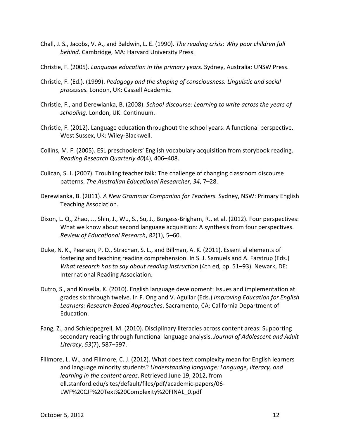- Chall, J. S., Jacobs, V. A., and Baldwin, L. E. (1990). *The reading crisis: Why poor children fall behind*. Cambridge, MA: Harvard University Press.
- Christie, F. (2005). *Language education in the primary years.* Sydney, Australia: UNSW Press.
- Christie, F. (Ed.). (1999). *Pedagogy and the shaping of consciousness: Linguistic and social processes.* London, UK: Cassell Academic.
- Christie, F., and Derewianka, B. (2008). *School discourse: Learning to write across the years of schooling.* London, UK: Continuum.
- Christie, F. (2012). Language education throughout the school years: A functional perspective. West Sussex, UK: Wiley-Blackwell.
- Collins, M. F. (2005). ESL preschoolers' English vocabulary acquisition from storybook reading. *Reading Research Quarterly 40*(4), 406–408.
- Culican, S. J. (2007). Troubling teacher talk: The challenge of changing classroom discourse patterns. *The Australian Educational Researcher*, *34*, 7–28.
- Derewianka, B. (2011). *A New Grammar Companion for Teachers.* Sydney, NSW: Primary English Teaching Association.
- Dixon, L. Q., Zhao, J., Shin, J., Wu, S., Su, J., Burgess-Brigham, R., et al. (2012). Four perspectives: What we know about second language acquisition: A synthesis from four perspectives. *Review of Educational Research*, *82*(1), 5–60.
- Duke, N. K., Pearson, P. D., Strachan, S. L., and Billman, A. K. (2011). Essential elements of fostering and teaching reading comprehension. In S. J. Samuels and A. Farstrup (Eds.) *What research has to say about reading instruction* (4th ed, pp. 51–93). Newark, DE: International Reading Association.
- Dutro, S., and Kinsella, K. (2010). English language development: Issues and implementation at grades six through twelve. In F. Ong and V. Aguilar (Eds.) *Improving Education for English Learners: ResearchͲBased Approaches*. Sacramento, CA: California Department of Education.
- Fang, Z., and Schleppegrell, M. (2010). Disciplinary literacies across content areas: Supporting secondary reading through functional language analysis. *Journal of Adolescent and Adult Literacy*, *53*(7), 587–597.
- Fillmore, L. W., and Fillmore, C. J. (2012). What does text complexity mean for English learners and language minority students? *Understanding language: Language, literacy, and learning in the content areas*. Retrieved June 19, 2012, from ell.stanford.edu/sites/default/files/pdf/academic-papers/06-LWF%20CJF%20Text%20Complexity%20FINAL\_0.pdf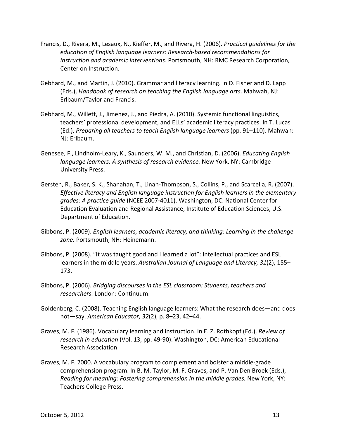- Francis, D., Rivera, M., Lesaux, N., Kieffer, M., and Rivera, H. (2006). *Practical guidelines for the education of English language learners: ResearchͲbased recommendations for instruction and academic interventions*. Portsmouth, NH: RMC Research Corporation, Center on Instruction.
- Gebhard, M., and Martin, J. (2010). Grammar and literacy learning. In D. Fisher and D. Lapp (Eds.), *Handbook of research on teaching the English language arts*. Mahwah, NJ: Erlbaum/Taylor and Francis.
- Gebhard, M., Willett, J., Jimenez, J., and Piedra, A. (2010). Systemic functional linguistics, teachers' professional development, and ELLs' academic literacy practices. In T. Lucas (Ed.), *Preparing all teachers to teach English language learners* (pp. 91–110). Mahwah: NJ: Erlbaum.
- Genesee, F., Lindholm-Leary, K., Saunders, W. M., and Christian, D. (2006). *Educating English language learners: A synthesis of research evidence.* New York, NY: Cambridge University Press.
- Gersten, R., Baker, S. K., Shanahan, T., Linan-Thompson, S., Collins, P., and Scarcella, R. (2007). *Effective literacy and English language instruction for English learners in the elementary grades: A practice guide* (NCEE 2007-4011). Washington, DC: National Center for Education Evaluation and Regional Assistance, Institute of Education Sciences, U.S. Department of Education.
- Gibbons, P. (2009). *English learners, academic literacy, and thinking: Learning in the challenge zone.* Portsmouth, NH: Heinemann.
- Gibbons, P. (2008). "It was taught good and I learned a lot": Intellectual practices and ESL learners in the middle years. *Australian Journal of Language and Literacy, 31*(2), 155– 173.
- Gibbons, P. (2006). *Bridging discourses in the ESL classroom: Students, teachers and researchers.* London: Continuum.
- Goldenberg, C. (2008). Teaching English language learners: What the research does—and does not—say. *American Educator, 32*(2), p. 8–23, 42–44.
- Graves, M. F. (1986). Vocabulary learning and instruction. In E. Z. Rothkopf (Ed.), *Review of research in education* (Vol. 13, pp. 49-90). Washington, DC: American Educational Research Association.
- Graves, M. F. 2000. A vocabulary program to complement and bolster a middle-grade comprehension program. In B. M. Taylor, M. F. Graves, and P. Van Den Broek (Eds.), *Reading for meaning: Fostering comprehension in the middle grades.* New York, NY: Teachers College Press.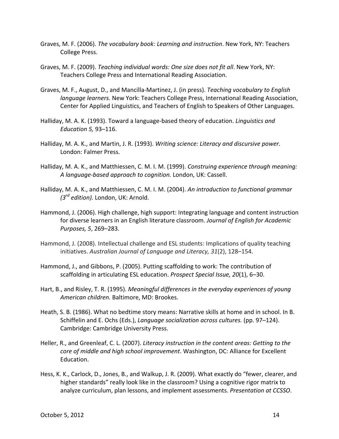- Graves, M. F. (2006). *The vocabulary book: Learning and instruction*. New York, NY: Teachers College Press.
- Graves, M. F. (2009). *Teaching individual words: One size does not fit all*. New York, NY: Teachers College Press and International Reading Association.
- Graves, M. F., August, D., and Mancilla-Martinez, J. (in press). *Teaching vocabulary to English language learners.* New York: Teachers College Press, International Reading Association, Center for Applied Linguistics, and Teachers of English to Speakers of Other Languages.
- Halliday, M. A. K. (1993). Toward a language-based theory of education. *Linguistics and Education 5,* 93–116.
- Halliday, M. A. K., and Martin, J. R. (1993). *Writing science: Literacy and discursive power.* London: Falmer Press.
- Halliday, M. A. K., and Matthiessen, C. M. I. M. (1999). *Construing experience through meaning: A languageͲbased approach to cognition.* London, UK: Cassell.
- Halliday, M. A. K., and Matthiessen, C. M. I. M. (2004). *An introduction to functional grammar (3rd edition).* London, UK: Arnold.
- Hammond, J. (2006). High challenge, high support: Integrating language and content instruction for diverse learners in an English literature classroom. *Journal of English for Academic Purposes, 5*, 269–283.
- Hammond, J. (2008). Intellectual challenge and ESL students: Implications of quality teaching initiatives. *Australian Journal of Language and Literacy, 31*(2), 128–154.
- Hammond, J., and Gibbons, P. (2005). Putting scaffolding to work: The contribution of scaffolding in articulating ESL education. *Prospect Special Issue, 20*(1), 6–30.
- Hart, B., and Risley, T. R. (1995). *Meaningful differences in the everyday experiences of young American children.* Baltimore, MD: Brookes.
- Heath, S. B. (1986). What no bedtime story means: Narrative skills at home and in school. In B. Schiffelin and E. Ochs (Eds.), *Language socialization across cultures.* (pp. 97–124). Cambridge: Cambridge University Press.
- Heller, R., and Greenleaf, C. L. (2007). *Literacy instruction in the content areas: Getting to the core of middle and high school improvement*. Washington, DC: Alliance for Excellent Education.
- Hess, K. K., Carlock, D., Jones, B., and Walkup, J. R. (2009). What exactly do "fewer, clearer, and higher standards" really look like in the classroom? Using a cognitive rigor matrix to analyze curriculum, plan lessons, and implement assessments. *Presentation at CCSSO*.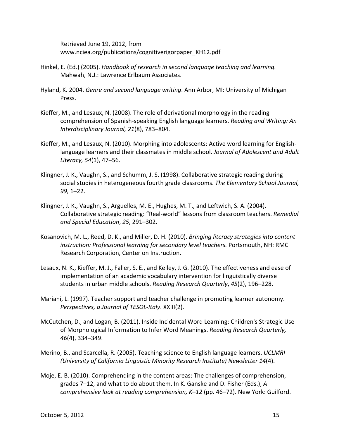Retrieved June 19, 2012, from www.nciea.org/publications/cognitiverigorpaper\_KH12.pdf

- Hinkel, E. (Ed.) (2005). *Handbook of research in second language teaching and learning.* Mahwah, N.J.: Lawrence Erlbaum Associates.
- Hyland, K. 2004. *Genre and second language writing*. Ann Arbor, MI: University of Michigan Press.
- Kieffer, M., and Lesaux, N. (2008). The role of derivational morphology in the reading comprehension of SpanishͲspeaking English language learners. *Reading and Writing: An Interdisciplinary Journal, 21*(8), 783–804.
- Kieffer, M., and Lesaux, N. (2010). Morphing into adolescents: Active word learning for Englishlanguage learners and their classmates in middle school. *Journal of Adolescent and Adult Literacy, 54*(1), 47–56.
- Klingner, J. K., Vaughn, S., and Schumm, J. S. (1998). Collaborative strategic reading during social studies in heterogeneous fourth grade classrooms. *The Elementary School Journal, 99,* 1–22.
- Klingner, J. K., Vaughn, S., Arguelles, M. E., Hughes, M. T., and Leftwich, S. A. (2004). Collaborative strategic reading: "Real-world" lessons from classroom teachers. *Remedial and Special Education*, *25*, 291–302.
- Kosanovich, M. L., Reed, D. K., and Miller, D. H. (2010). *Bringing literacy strategies into content instruction: Professional learning for secondary level teachers.* Portsmouth, NH: RMC Research Corporation, Center on Instruction.
- Lesaux, N. K., Kieffer, M. J., Faller, S. E., and Kelley, J. G. (2010). The effectiveness and ease of implementation of an academic vocabulary intervention for linguistically diverse students in urban middle schools. *Reading Research Quarterly*, *45*(2), 196–228.
- Mariani, L. (1997). Teacher support and teacher challenge in promoting learner autonomy. *Perspectives, a Journal of TESOLͲItaly*. XXIII(2).
- McCutchen, D., and Logan, B. (2011). Inside Incidental Word Learning: Children's Strategic Use of Morphological Information to Infer Word Meanings. *Reading Research Quarterly, 46*(4), 334–349.
- Merino, B., and Scarcella, R. (2005). Teaching science to English language learners. *UCLMRI (University of California Linguistic Minority Research Institute) Newsletter 14*(4).
- Moje, E. B. (2010). Comprehending in the content areas: The challenges of comprehension, grades 7–12, and what to do about them. In K. Ganske and D. Fisher (Eds.), *A comprehensive look at reading comprehension, K–12* (pp. 46–72). New York: Guilford.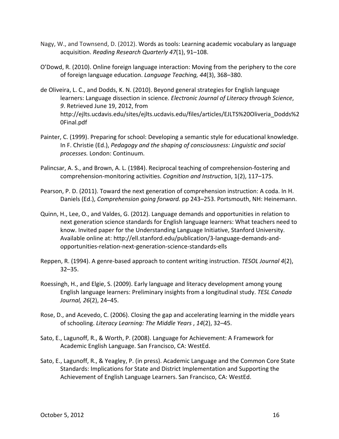- Nagy, W., and Townsend, D. (2012). Words as tools: Learning academic vocabulary as language acquisition. *Reading Research Quarterly 47*(1), 91–108.
- O'Dowd, R. (2010). Online foreign language interaction: Moving from the periphery to the core of foreign language education. *Language Teaching, 44*(3), 368–380.
- de Oliveira, L. C., and Dodds, K. N. (2010). Beyond general strategies for English language learners: Language dissection in science. *Electronic Journal of Literacy through Science*, *9*. Retrieved June 19, 2012, from http://ejlts.ucdavis.edu/sites/ejlts.ucdavis.edu/files/articles/EJLTS%20Oliveria\_Dodds%2 0Final.pdf
- Painter, C. (1999). Preparing for school: Developing a semantic style for educational knowledge. In F. Christie (Ed.), *Pedagogy and the shaping of consciousness: Linguistic and social processes.* London: Continuum.
- Palincsar, A. S., and Brown, A. L. (1984). Reciprocal teaching of comprehension-fostering and comprehensionͲmonitoring activities. *Cognition and Instruction*, 1(2), 117–175.
- Pearson, P. D. (2011). Toward the next generation of comprehension instruction: A coda. In H. Daniels (Ed.), *Comprehension going forward.* pp 243–253. Portsmouth, NH: Heinemann.
- Quinn, H., Lee, O., and Valdes, G. (2012). Language demands and opportunities in relation to next generation science standards for English language learners: What teachers need to know. Invited paper for the Understanding Language Initiative, Stanford University. Available online at: http://ell.stanford.edu/publication/3-language-demands-andopportunities-relation-next-generation-science-standards-ells
- Reppen, R. (1994). A genre-based approach to content writing instruction. *TESOL Journal 4*(2), 32–35.
- Roessingh, H., and Elgie, S. (2009). Early language and literacy development among young English language learners: Preliminary insights from a longitudinal study. *TESL Canada Journal, 26*(2), 24–45.
- Rose, D., and Acevedo, C. (2006). Closing the gap and accelerating learning in the middle years of schooling. *Literacy Learning: The Middle Years* , *14*(2), 32–45.
- Sato, E., Lagunoff, R., & Worth, P. (2008). Language for Achievement: A Framework for Academic English Language. San Francisco, CA: WestEd.
- Sato, E., Lagunoff, R., & Yeagley, P. (in press). Academic Language and the Common Core State Standards: Implications for State and District Implementation and Supporting the Achievement of English Language Learners. San Francisco, CA: WestEd.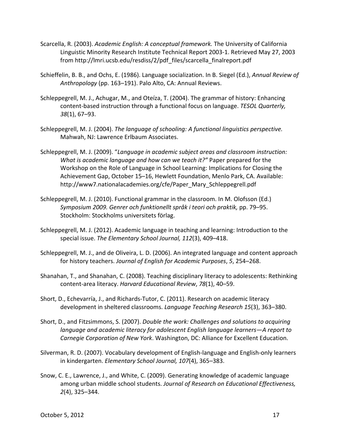- Scarcella, R. (2003). *Academic English: A conceptual framework.* The University of California Linguistic Minority Research Institute Technical Report 2003-1. Retrieved May 27, 2003 from http://lmri.ucsb.edu/resdiss/2/pdf\_files/scarcella\_finalreport.pdf
- Schieffelin, B. B., and Ochs, E. (1986). Language socialization. In B. Siegel (Ed.), *Annual Review of Anthropology* (pp. 163–191). Palo Alto, CA: Annual Reviews.
- Schleppegrell, M. J., Achugar, M., and Oteíza, T. (2004). The grammar of history: Enhancing content-based instruction through a functional focus on language. *TESOL Quarterly*, *38*(1), 67–93.
- Schleppegrell, M. J. (2004). *The language of schooling: A functional linguistics perspective.* Mahwah, NJ: Lawrence Erlbaum Associates.
- Schleppegrell, M. J. (2009). "*Language in academic subject areas and classroom instruction: What is academic language and how can we teach it?"* Paper prepared for the Workshop on the Role of Language in School Learning: Implications for Closing the Achievement Gap, October 15–16, Hewlett Foundation, Menlo Park, CA. Available: http://www7.nationalacademies.org/cfe/Paper\_Mary\_Schleppegrell.pdf
- Schleppegrell, M. J. (2010). Functional grammar in the classroom. In M. Olofsson (Ed.) *Symposium 2009. Genrer och funktionellt språk i teori och praktik,* pp. 79–95. Stockholm: Stockholms universitets förlag.
- Schleppegrell, M. J. (2012). Academic language in teaching and learning: Introduction to the special issue. *The Elementary School Journal, 112*(3), 409–418.
- Schleppegrell, M. J., and de Oliveira, L. D. (2006). An integrated language and content approach for history teachers. *Journal of English for Academic Purposes*, *5*, 254–268.
- Shanahan, T., and Shanahan, C. (2008). Teaching disciplinary literacy to adolescents: Rethinking contentͲarea literacy. *Harvard Educational Review*, *78*(1), 40–59.
- Short, D., Echevarría, J., and Richards-Tutor, C. (2011). Research on academic literacy development in sheltered classrooms. *Language Teaching Research 15*(3), 363–380.
- Short, D., and Fitzsimmons, S. (2007). *Double the work: Challenges and solutions to acquiring language and academic literacy for adolescent English language learners—A report to Carnegie Corporation of New York*. Washington, DC: Alliance for Excellent Education.
- Silverman, R. D. (2007). Vocabulary development of English-language and English-only learners in kindergarten. *Elementary School Journal, 107*(4), 365–383.
- Snow, C. E., Lawrence, J., and White, C. (2009). Generating knowledge of academic language among urban middle school students. *Journal of Research on Educational Effectiveness, 2*(4), 325–344.